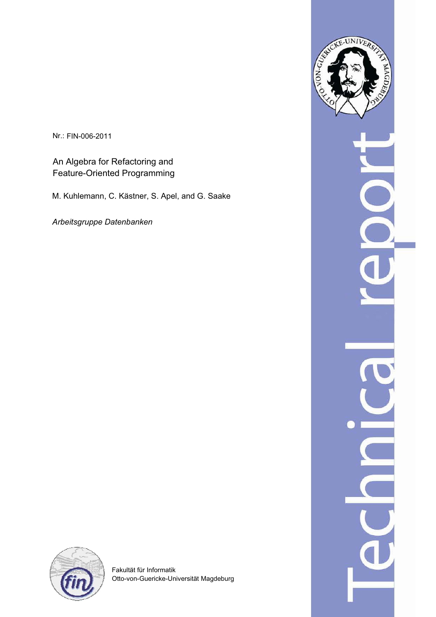Nr.: FIN-006-2011

An Algebra for Refactoring and Feature-Oriented Programming

M. Kuhlemann, C. Kästner, S. Apel, and G. Saake

*Arbeitsgruppe Datenbanken*





Fakultät für Informatik Otto-von-Guericke-Universität Magdeburg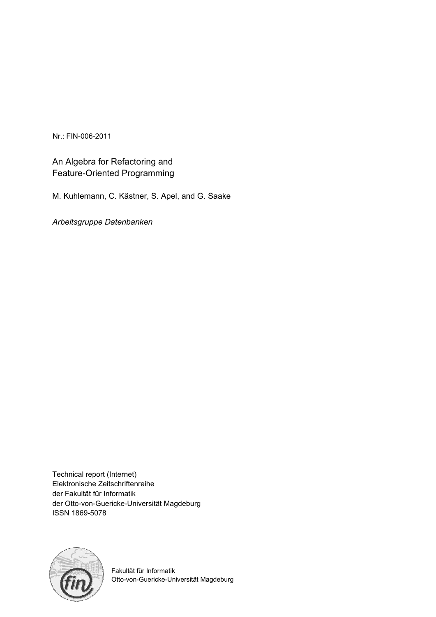Nr.: FIN-006-2011

# An Algebra for Refactoring and Feature-Oriented Programming

M. Kuhlemann, C. Kästner, S. Apel, and G. Saake

*Arbeitsgruppe Datenbanken*

Technical report (Internet) Elektronische Zeitschriftenreihe der Fakultät für Informatik der Otto-von-Guericke-Universität Magdeburg ISSN 1869-5078



Fakultät für Informatik Otto-von-Guericke-Universität Magdeburg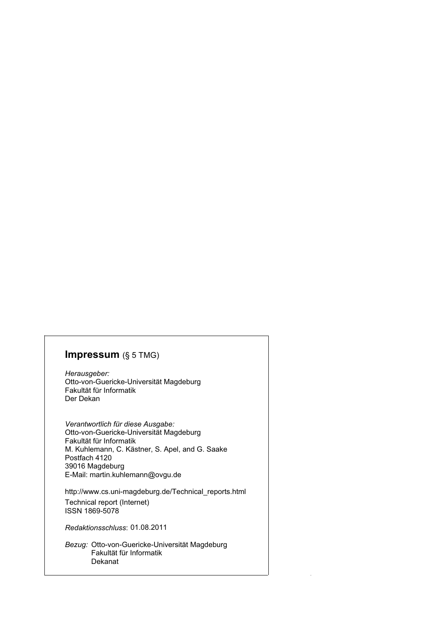## **Impressum** (§ 5 TMG)

*Herausgeber:*  Otto-von-Guericke-Universität Magdeburg Fakultät für Informatik Der Dekan

*Verantwortlich für diese Ausgabe:*  Otto-von-Guericke-Universität Magdeburg Fakultät für Informatik Postfach 4120 39016 Magdeburg E-Mail: martin.kuhlemann@ovgu.de M. Kuhlemann, C. Kästner, S. Apel, and G. Saake

http://www.cs.uni-magdeburg.de/Technical\_reports.html Technical report (Internet) ISSN 1869-5078

*Redaktionsschluss*: 01.08.2011

*Bezug:* Otto-von-Guericke-Universität Magdeburg Fakultät für Informatik Dekanat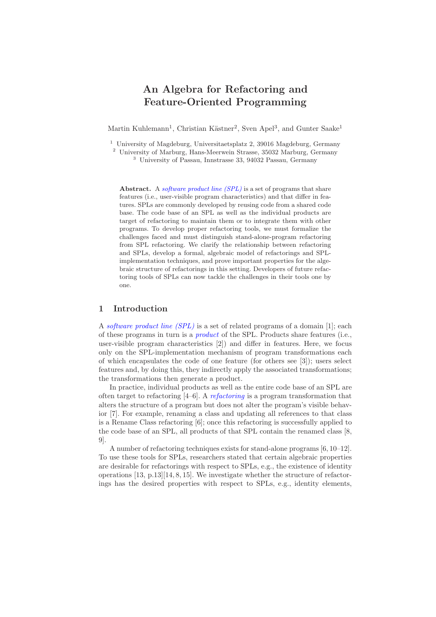# **An Algebra for Refactoring and Feature-Oriented Programming**

Martin Kuhlemann<sup>1</sup>, Christian Kästner<sup>2</sup>, Sven Apel<sup>3</sup>, and Gunter Saake<sup>1</sup>

<sup>1</sup> University of Magdeburg, Universitaetsplatz 2, 39016 Magdeburg, Germany

<sup>2</sup> University of Marburg, Hans-Meerwein Strasse, 35032 Marburg, Germany <sup>3</sup> University of Passau, Innstrasse 33, 94032 Passau, Germany

Abstract. A *software product line (SPL)* is a set of programs that share features (i.e., user-visible program characteristics) and that differ in features. SPLs are commonly developed by reusing code from a shared code base. The code base of an SPL as well as the individual products are target of refactoring to maintain them or to integrate them with other programs. To develop proper refactoring tools, we must formalize the challenges faced and must distinguish stand-alone-program refactoring from SPL refactoring. We clarify the relationship between refactoring and SPLs, develop a formal, algebraic model of refactorings and SPLimplementation techniques, and prove important properties for the algebraic structure of refactorings in this setting. Developers of future refactoring tools of SPLs can now tackle the challenges in their tools one by one.

## **1 Introduction**

A software product line (SPL) is a set of related programs of a domain [1]; each of these programs in turn is a *product* of the SPL. Products share features (i.e., user-visible program characteristics [2]) and differ in features. Here, we focus only on the SPL-implementation mechanism of program transformations each of which encapsulates the code of one feature (for others see [3]); users select features and, by doing this, they indirectly apply the associated transformations; the transformations then generate a product.

In practice, individual products as well as the entire code base of an SPL are often target to refactoring  $[4–6]$ . A *refactoring* is a program transformation that alters the structure of a program but does not alter the program's visible behavior [7]. For example, renaming a class and updating all references to that class is a Rename Class refactoring [6]; once this refactoring is successfully applied to the code base of an SPL, all products of that SPL contain the renamed class [8, 9].

A number of refactoring techniques exists for stand-alone programs [6, 10–12]. To use these tools for SPLs, researchers stated that certain algebraic properties are desirable for refactorings with respect to SPLs, e.g., the existence of identity operations [13, p.13][14, 8, 15]. We investigate whether the structure of refactorings has the desired properties with respect to SPLs, e.g., identity elements,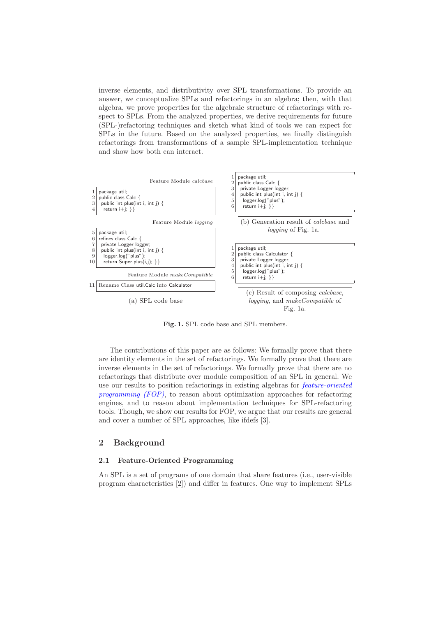inverse elements, and distributivity over SPL transformations. To provide an answer, we conceptualize SPLs and refactorings in an algebra; then, with that algebra, we prove properties for the algebraic structure of refactorings with respect to SPLs. From the analyzed properties, we derive requirements for future (SPL-)refactoring techniques and sketch what kind of tools we can expect for SPLs in the future. Based on the analyzed properties, we finally distinguish refactorings from transformations of a sample SPL-implementation technique and show how both can interact.



**Fig. 1.** SPL code base and SPL members.

The contributions of this paper are as follows: We formally prove that there are identity elements in the set of refactorings. We formally prove that there are inverse elements in the set of refactorings. We formally prove that there are no refactorings that distribute over module composition of an SPL in general. We use our results to position refactorings in existing algebras for feature-oriented programming (FOP), to reason about optimization approaches for refactoring engines, and to reason about implementation techniques for SPL-refactoring tools. Though, we show our results for FOP, we argue that our results are general and cover a number of SPL approaches, like ifdefs [3].

#### **2 Background**

### **2.1 Feature-Oriented Programming**

An SPL is a set of programs of one domain that share features (i.e., user-visible program characteristics [2]) and differ in features. One way to implement SPLs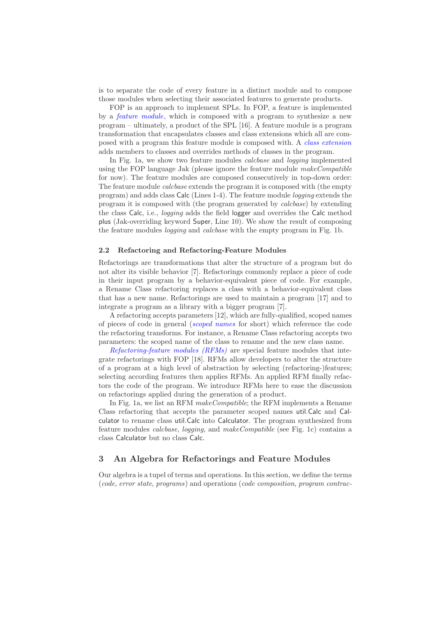is to separate the code of every feature in a distinct module and to compose those modules when selecting their associated features to generate products.

FOP is an approach to implement SPLs. In FOP, a feature is implemented by a feature module, which is composed with a program to synthesize a new program – ultimately, a product of the SPL [16]. A feature module is a program transformation that encapsulates classes and class extensions which all are composed with a program this feature module is composed with. A class extension adds members to classes and overrides methods of classes in the program.

In Fig. 1a, we show two feature modules calcbase and logging implemented using the FOP language Jak (please ignore the feature module makeCompatible for now). The feature modules are composed consecutively in top-down order: The feature module *calcbase* extends the program it is composed with (the empty program) and adds class Calc (Lines 1-4). The feature module logging extends the program it is composed with (the program generated by calcbase) by extending the class Calc, i.e., logging adds the field logger and overrides the Calc method plus (Jak-overriding keyword Super, Line 10). We show the result of composing the feature modules logging and calcbase with the empty program in Fig. 1b.

#### **2.2 Refactoring and Refactoring-Feature Modules**

Refactorings are transformations that alter the structure of a program but do not alter its visible behavior [7]. Refactorings commonly replace a piece of code in their input program by a behavior-equivalent piece of code. For example, a Rename Class refactoring replaces a class with a behavior-equivalent class that has a new name. Refactorings are used to maintain a program [17] and to integrate a program as a library with a bigger program [7].

A refactoring accepts parameters [12], which are fully-qualified, scoped names of pieces of code in general (scoped names for short) which reference the code the refactoring transforms. For instance, a Rename Class refactoring accepts two parameters: the scoped name of the class to rename and the new class name.

Refactoring-feature modules (RFMs) are special feature modules that integrate refactorings with FOP [18]. RFMs allow developers to alter the structure of a program at a high level of abstraction by selecting (refactoring-)features; selecting according features then applies RFMs. An applied RFM finally refactors the code of the program. We introduce RFMs here to ease the discussion on refactorings applied during the generation of a product.

In Fig. 1a, we list an RFM *makeCompatible*; the RFM implements a Rename Class refactoring that accepts the parameter scoped names util.Calc and Calculator to rename class util.Calc into Calculator. The program synthesized from feature modules calcbase, logging, and makeCompatible (see Fig. 1c) contains a class Calculator but no class Calc.

#### **3 An Algebra for Refactorings and Feature Modules**

Our algebra is a tupel of terms and operations. In this section, we define the terms (code, error state, programs) and operations (code composition, program contrac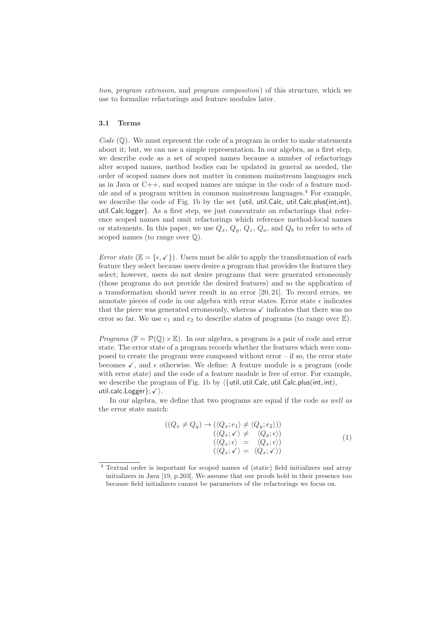tion, program extension, and program composition) of this structure, which we use to formalize refactorings and feature modules later.

#### **3.1 Terms**

 $Code \left( \mathbb{Q} \right)$ . We must represent the code of a program in order to make statements about it; but, we can use a simple representation. In our algebra, as a first step, we describe code as a set of scoped names because a number of refactorings alter scoped names, method bodies can be updated in general as needed, the order of scoped names does not matter in common mainstream languages such as in Java or C++, and scoped names are unique in the code of a feature module and of a program written in common mainstream languages.<sup>4</sup> For example, we describe the code of Fig. 1b by the set {util, util.Calc, util.Calc.plus(int,int), util.Calc.logger}. As a first step, we just concentrate on refactorings that reference scoped names and omit refactorings which reference method-local names or statements. In this paper, we use  $Q_x, Q_y, Q_z, Q_a$ , and  $Q_b$  to refer to sets of scoped names (to range over  $\mathbb{Q}$ ).

Error state  $(\mathbb{E} = {\epsilon, \checkmark})$ . Users must be able to apply the transformation of each feature they select because users desire a program that provides the features they select; however, users do not desire programs that were generated erroneously (those programs do not provide the desired features) and so the application of a transformation should never result in an error [20, 21]. To record errors, we annotate pieces of code in our algebra with error states. Error state  $\epsilon$  indicates that the piece was generated erroneously, whereas  $\checkmark$  indicates that there was no error so far. We use  $e_1$  and  $e_2$  to describe states of programs (to range over  $\mathbb{E}$ ).

*Programs* ( $\mathbb{F} = \mathcal{P}(\mathbb{Q}) \times \mathbb{E}$ ). In our algebra, a program is a pair of code and error state. The error state of a program records whether the features which were composed to create the program were composed without error – if so, the error state becomes  $\checkmark$ , and  $\epsilon$  otherwise. We define: A feature module is a program (code with error state) and the code of a feature module is free of error. For example, we describe the program of Fig. 1b by  $\langle \{\text{util}, \text{util}.\textsf{Calc}, \text{util}.\textsf{Calc}, \textsf{plus}(\textsf{int}, \textsf{int}),$  $util$ .calc. Logger $\}; \checkmark$ .

In our algebra, we define that two programs are equal if the code as well as the error state match:

$$
((Q_x \neq Q_y) \rightarrow (\langle Q_x; e_1 \rangle \neq \langle Q_y; e_2 \rangle))
$$
  
\n
$$
(\langle Q_x; \checkmark \rangle \neq \langle Q_y; \epsilon \rangle)
$$
  
\n
$$
(\langle Q_x; \epsilon \rangle = \langle Q_x; \epsilon \rangle)
$$
  
\n
$$
(\langle Q_x; \checkmark \rangle = \langle Q_x; \checkmark \rangle)
$$
  
\n(1)

<sup>4</sup> Textual order is important for scoped names of (static) field initializers and array initializers in Java [19, p.203]. We assume that our proofs hold in their presence too because field initializers cannot be parameters of the refactorings we focus on.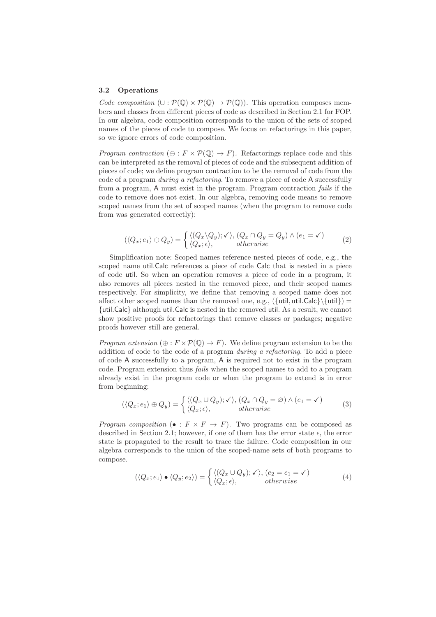#### **3.2 Operations**

Code composition  $(\cup : \mathcal{P}(\mathbb{Q}) \times \mathcal{P}(\mathbb{Q}) \rightarrow \mathcal{P}(\mathbb{Q}))$ . This operation composes members and classes from different pieces of code as described in Section 2.1 for FOP. In our algebra, code composition corresponds to the union of the sets of scoped names of the pieces of code to compose. We focus on refactorings in this paper, so we ignore errors of code composition.

*Program contraction* ( $\ominus$ :  $F \times \mathcal{P}(\mathbb{Q}) \to F$ ). Refactorings replace code and this can be interpreted as the removal of pieces of code and the subsequent addition of pieces of code; we define program contraction to be the removal of code from the code of a program during a refactoring. To remove a piece of code A successfully from a program, A must exist in the program. Program contraction fails if the code to remove does not exist. In our algebra, removing code means to remove scoped names from the set of scoped names (when the program to remove code from was generated correctly):

$$
(\langle Q_x, e_1 \rangle \ominus Q_y) = \begin{cases} \langle (Q_x \setminus Q_y); \checkmark, (Q_x \cap Q_y = Q_y) \land (e_1 = \checkmark) \\ \langle Q_x; \epsilon \rangle, \quad \text{otherwise} \end{cases} \tag{2}
$$

Simplification note: Scoped names reference nested pieces of code, e.g., the scoped name util.Calc references a piece of code Calc that is nested in a piece of code util. So when an operation removes a piece of code in a program, it also removes all pieces nested in the removed piece, and their scoped names respectively. For simplicity, we define that removing a scoped name does not affect other scoped names than the removed one, e.g.,  $({$  [util, util.Calc} $\setminus$  [util}) = {util.Calc} although util.Calc is nested in the removed util. As a result, we cannot show positive proofs for refactorings that remove classes or packages; negative proofs however still are general.

*Program extension*  $(\oplus : F \times \mathcal{P}(\mathbb{Q}) \to F)$ . We define program extension to be the addition of code to the code of a program during a refactoring. To add a piece of code A successfully to a program, A is required not to exist in the program code. Program extension thus fails when the scoped names to add to a program already exist in the program code or when the program to extend is in error from beginning:

$$
(\langle Q_x, e_1 \rangle \oplus Q_y) = \begin{cases} \langle (Q_x \cup Q_y); \checkmark, (Q_x \cap Q_y = \varnothing) \land (e_1 = \checkmark) \\ \langle Q_x; \epsilon \rangle, \end{cases} (3)
$$

*Program composition* ( $\bullet : F \times F \to F$ ). Two programs can be composed as described in Section 2.1; however, if one of them has the error state  $\epsilon$ , the error state is propagated to the result to trace the failure. Code composition in our algebra corresponds to the union of the scoped-name sets of both programs to compose.

$$
(\langle Q_x; e_1 \rangle \bullet \langle Q_y; e_2 \rangle) = \begin{cases} \langle (Q_x \cup Q_y); \checkmark, (e_2 = e_1 = \checkmark) \\ \langle Q_x; \epsilon \rangle, \end{cases}
$$
 (4)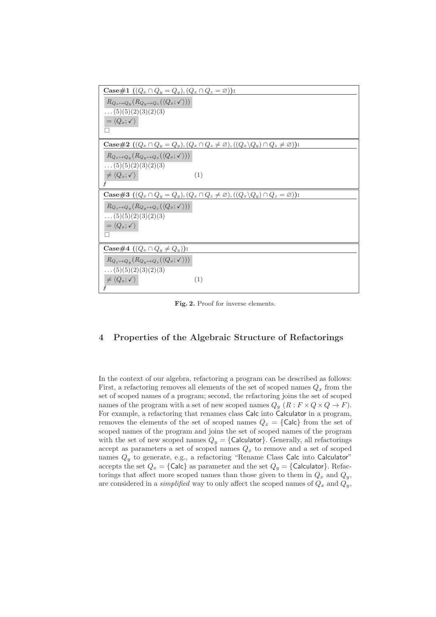| Case#1 $((Q_x \cap Q_y = Q_y), (Q_x \cap Q_z = \varnothing))$ :                                                         |
|-------------------------------------------------------------------------------------------------------------------------|
| $R_{Q_z \mapsto Q_y}(R_{Q_y \mapsto Q_z}(\langle Q_x; \checkmark \rangle))$                                             |
| $\ldots (5)(5)(2)(3)(2)(3)$                                                                                             |
| $=\langle Q_x; \checkmark \rangle$                                                                                      |
| П                                                                                                                       |
| <b>Case#2</b> $((Q_x \cap Q_y = Q_y), (Q_x \cap Q_z \neq \emptyset), ((Q_x \backslash Q_y) \cap Q_z \neq \emptyset))$ : |
| $R_{Q_z \mapsto Q_y}(R_{Q_y \mapsto Q_z}(\langle Q_x; \checkmark \rangle))$                                             |
| $\ldots (5)(5)(2)(3)(2)(3)$                                                                                             |
| $\neq \langle Q_x; \checkmark \rangle$<br>(1)                                                                           |
|                                                                                                                         |
|                                                                                                                         |
| <b>Case#3</b> $((Q_x \cap Q_y = Q_y), (Q_x \cap Q_z \neq \emptyset), ((Q_x \backslash Q_y) \cap Q_z = \emptyset))$ :    |
| $R_{Q_z \mapsto Q_y}(R_{Q_y \mapsto Q_z}(\langle Q_x; \checkmark \rangle))$                                             |
| $\ldots (5)(5)(2)(3)(2)(3)$                                                                                             |
| $=\langle Q_x; \checkmark \rangle$                                                                                      |
| п                                                                                                                       |
| Case#4 $((Q_x \cap Q_y \neq Q_y))$ :                                                                                    |
| $R_{Q_z \mapsto Q_y}(R_{Q_y \mapsto Q_z}(\langle Q_x; \checkmark \rangle))$                                             |
| $\ldots (5)(5)(2)(3)(2)(3)$                                                                                             |
| $\neq \langle Q_x; \checkmark \rangle$<br>(1)                                                                           |

**Fig. 2.** Proof for inverse elements.

## **4 Properties of the Algebraic Structure of Refactorings**

In the context of our algebra, refactoring a program can be described as follows: First, a refactoring removes all elements of the set of scoped names  $Q_x$  from the set of scoped names of a program; second, the refactoring joins the set of scoped names of the program with a set of new scoped names  $Q_y(R : F \times Q \times Q \to F)$ . For example, a refactoring that renames class Calc into Calculator in a program, removes the elements of the set of scoped names  $Q_x = \{$ Calc $\}$  from the set of scoped names of the program and joins the set of scoped names of the program with the set of new scoped names  $Q_y = \{$ Calculator $\}$ . Generally, all refactorings accept as parameters a set of scoped names  $Q_x$  to remove and a set of scoped names  $Q_y$  to generate, e.g., a refactoring "Rename Class Calc into Calculator" accepts the set  $Q_x = \{$ Calc $\}$  as parameter and the set  $Q_y = \{$ Calculator $\}$ . Refactorings that affect more scoped names than those given to them in  $Q_x$  and  $Q_y$ , are considered in a *simplified* way to only affect the scoped names of  $Q_x$  and  $Q_y$ ,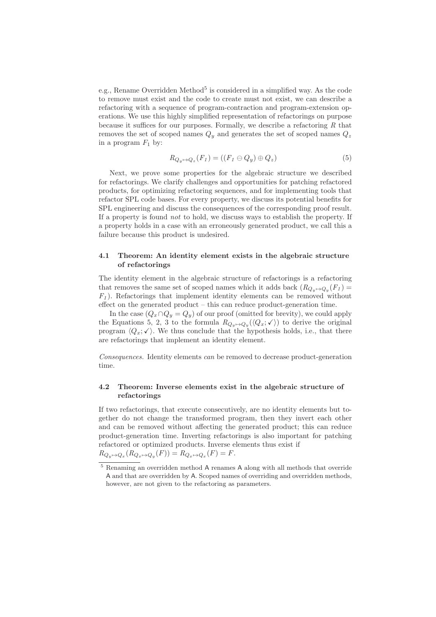e.g., Rename Overridden Method<sup>5</sup> is considered in a simplified way. As the code to remove must exist and the code to create must not exist, we can describe a refactoring with a sequence of program-contraction and program-extension operations. We use this highly simplified representation of refactorings on purpose because it suffices for our purposes. Formally, we describe a refactoring  $R$  that removes the set of scoped names  $Q_y$  and generates the set of scoped names  $Q_z$ in a program  $F_1$  by:

$$
R_{Q_y \mapsto Q_z}(F_1) = ((F_1 \ominus Q_y) \oplus Q_z) \tag{5}
$$

Next, we prove some properties for the algebraic structure we described for refactorings. We clarify challenges and opportunities for patching refactored products, for optimizing refactoring sequences, and for implementing tools that refactor SPL code bases. For every property, we discuss its potential benefits for SPL engineering and discuss the consequences of the corresponding proof result. If a property is found not to hold, we discuss ways to establish the property. If a property holds in a case with an erroneously generated product, we call this a failure because this product is undesired.

#### **4.1 Theorem: An identity element exists in the algebraic structure of refactorings**

The identity element in the algebraic structure of refactorings is a refactoring that removes the same set of scoped names which it adds back  $(R_{Q_y\mapsto Q_y}(F_1) =$ <br> $F_{\lambda}$ . Befortowing that implement identity elements can be removed without  $F_1$ ). Refactorings that implement identity elements can be removed without effect on the generated product – this can reduce product-generation time.

In the case  $(Q_x \cap Q_y = Q_y)$  of our proof (omitted for brevity), we could apply the Equations 5, 2, 3 to the formula  $R_{Q_y \mapsto Q_y}(\langle Q_x; \checkmark \rangle)$  to derive the original program  $\langle Q_x; \checkmark \rangle$ . We thus conclude that the hypothesis holds, i.e., that there are refactorings that implement an identity element.

Consequences. Identity elements can be removed to decrease product-generation time.

### **4.2 Theorem: Inverse elements exist in the algebraic structure of refactorings**

If two refactorings, that execute consecutively, are no identity elements but together do not change the transformed program, then they invert each other and can be removed without affecting the generated product; this can reduce product-generation time. Inverting refactorings is also important for patching refactored or optimized products. Inverse elements thus exist if

$$
R_{Q_y \mapsto Q_x}(R_{Q_x \mapsto Q_y}(F)) = R_{Q_x \mapsto Q_x}(F) = F.
$$

 $^5$  Renaming an overridden method  ${\sf A}$  renames  ${\sf A}$  along with all methods that override A and that are overridden by A. Scoped names of overriding and overridden methods, however, are not given to the refactoring as parameters.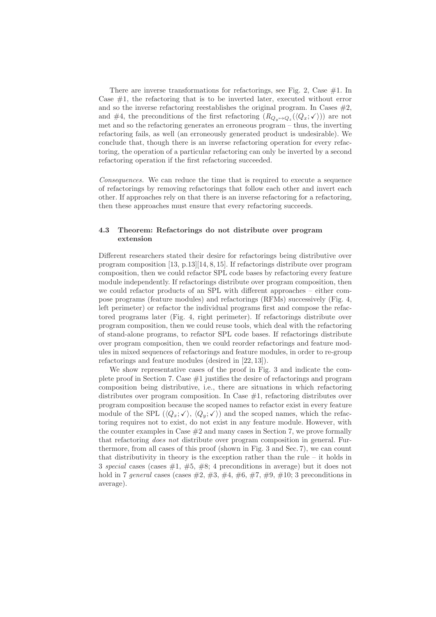There are inverse transformations for refactorings, see Fig. 2, Case  $\#1$ . In Case  $#1$ , the refactoring that is to be inverted later, executed without error and so the inverse refactoring reestablishes the original program. In Cases  $#2$ , and #4, the preconditions of the first refactoring  $(R_{Q_y \mapsto Q_z}(\langle Q_x; \checkmark \rangle))$  are not met and so the refactoring generates an erroneous program – thus, the inverting refactoring fails, as well (an erroneously generated product is undesirable). We conclude that, though there is an inverse refactoring operation for every refactoring, the operation of a particular refactoring can only be inverted by a second refactoring operation if the first refactoring succeeded.

Consequences. We can reduce the time that is required to execute a sequence of refactorings by removing refactorings that follow each other and invert each other. If approaches rely on that there is an inverse refactoring for a refactoring, then these approaches must ensure that every refactoring succeeds.

#### **4.3 Theorem: Refactorings do not distribute over program extension**

Different researchers stated their desire for refactorings being distributive over program composition [13, p.13][14, 8, 15]. If refactorings distribute over program composition, then we could refactor SPL code bases by refactoring every feature module independently. If refactorings distribute over program composition, then we could refactor products of an SPL with different approaches – either compose programs (feature modules) and refactorings (RFMs) successively (Fig. 4, left perimeter) or refactor the individual programs first and compose the refactored programs later (Fig. 4, right perimeter). If refactorings distribute over program composition, then we could reuse tools, which deal with the refactoring of stand-alone programs, to refactor SPL code bases. If refactorings distribute over program composition, then we could reorder refactorings and feature modules in mixed sequences of refactorings and feature modules, in order to re-group refactorings and feature modules (desired in [22, 13]).

We show representative cases of the proof in Fig. 3 and indicate the complete proof in Section 7. Case #1 justifies the desire of refactorings and program composition being distributive, i.e., there are situations in which refactoring distributes over program composition. In Case  $#1$ , refactoring distributes over program composition because the scoped names to refactor exist in every feature module of the SPL  $(\langle Q_x; \checkmark \rangle, \langle Q_y; \checkmark \rangle)$  and the scoped names, which the refactoring requires not to exist, do not exist in any feature module. However, with the counter examples in Case  $#2$  and many cases in Section 7, we prove formally that refactoring does not distribute over program composition in general. Furthermore, from all cases of this proof (shown in Fig. 3 and Sec. 7), we can count that distributivity in theory is the exception rather than the rule  $-$  it holds in 3 special cases (cases  $\#1, \#5, \#8; 4$  preconditions in average) but it does not hold in 7 general cases (cases  $\#2, \#3, \#4, \#6, \#7, \#9, \#10; 3$  preconditions in average).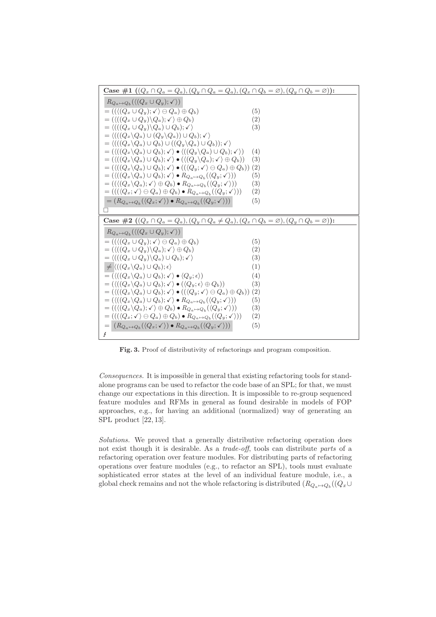

**Fig. 3.** Proof of distributivity of refactorings and program composition.

Consequences. It is impossible in general that existing refactoring tools for standalone programs can be used to refactor the code base of an SPL; for that, we must change our expectations in this direction. It is impossible to re-group sequenced feature modules and RFMs in general as found desirable in models of FOP approaches, e.g., for having an additional (normalized) way of generating an SPL product [22, 13].

Solutions. We proved that a generally distributive refactoring operation does not exist though it is desirable. As a *trade-off*, tools can distribute *parts* of a refactoring operation over feature modules. For distributing parts of refactoring operations over feature modules (e.g., to refactor an SPL), tools must evaluate sophisticated error states at the level of an individual feature module, i.e., a global check remains and not the whole refactoring is distributed  $(R_{Q_a \mapsto Q_b}((Q_x \cup$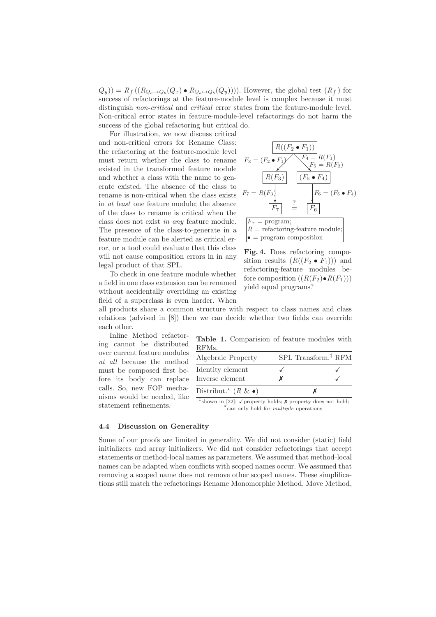$(Q_y) = R_f ((R_{Q_a \mapsto Q_b}(Q_x) \bullet R_{Q_a \mapsto Q_b}(Q_y))))$ . However, the global test  $(R_f)$  for success of refactorings at the feature-module level is complex because it must distinguish *non-critical* and *critical* error states from the feature-module level. Non-critical error states in feature-module-level refactorings do not harm the success of the global refactoring but critical do.

For illustration, we now discuss critical and non-critical errors for Rename Class: the refactoring at the feature-module level must return whether the class to rename existed in the transformed feature module and whether a class with the name to generate existed. The absence of the class to rename is non-critical when the class exists in at least one feature module; the absence of the class to rename is critical when the class does not exist in any feature module. The presence of the class-to-generate in a feature module can be alerted as critical error, or a tool could evaluate that this class will not cause composition errors in in any legal product of that SPL.

To check in one feature module whether a field in one class extension can be renamed without accidentally overriding an existing field of a superclass is even harder. When

$$
F_3 = (F_2 \cdot F_1)
$$
  
\n
$$
F_3 = (F_2 \cdot F_1)
$$
  
\n
$$
F_4 = R(F_1)
$$
  
\n
$$
F_5 = R(F_2)
$$
  
\n
$$
F_6 = (F_5 \cdot F_4)
$$
  
\n
$$
F_7 = R(F_3)
$$
  
\n
$$
F_8 = (F_5 \cdot F_4)
$$
  
\n
$$
F_9 = (F_5 \cdot F_4)
$$
  
\n
$$
F_9 = (F_5 \cdot F_4)
$$
  
\n
$$
F_0 = (F_5 \cdot F_4)
$$
  
\n
$$
F_1 = \text{programming}
$$
  
\n
$$
R = \text{refactoring-feature module};
$$
  
\n
$$
\bullet = \text{program composition}
$$

**Fig. 4.** Does refactoring composition results  $(R((F_2 \bullet F_1)))$  and refactoring-feature modules before composition  $((R(F_2) \bullet R(F_1)))$ yield equal programs?

all products share a common structure with respect to class names and class relations (advised in [8]) then we can decide whether two fields can override each other.

Inline Method refactoring cannot be distributed over current feature modules at all because the method must be composed first before its body can replace calls. So, new FOP mechanisms would be needed, like statement refinements.

**Table 1.** Comparision of feature modules with RFMs.

| Algebraic Property                  |                   | SPL Transform. <sup>‡</sup> RFM |
|-------------------------------------|-------------------|---------------------------------|
| Identity element<br>Inverse element |                   |                                 |
| Distribut.* $(R \& \bullet)$        |                   |                                 |
| $\cdot$ $\sim$ $\sim$ $\cdot$       | $\cdots$ $\cdots$ |                                 |

<sup>‡</sup>shown in [22];  $\checkmark$  property holds;  $\checkmark$  property does not hold;  $\star$  can only hold for *multiple* operations

#### **4.4 Discussion on Generality**

Some of our proofs are limited in generality. We did not consider (static) field initializers and array initializers. We did not consider refactorings that accept statements or method-local names as parameters. We assumed that method-local names can be adapted when conflicts with scoped names occur. We assumed that removing a scoped name does not remove other scoped names. These simplifications still match the refactorings Rename Monomorphic Method, Move Method,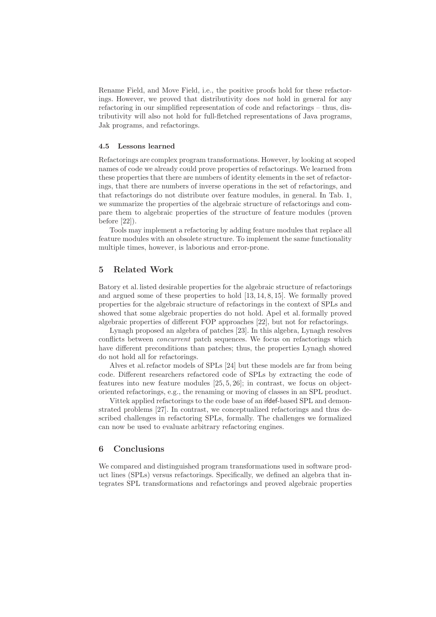Rename Field, and Move Field, i.e., the positive proofs hold for these refactorings. However, we proved that distributivity does not hold in general for any refactoring in our simplified representation of code and refactorings – thus, distributivity will also not hold for full-fletched representations of Java programs, Jak programs, and refactorings.

#### **4.5 Lessons learned**

Refactorings are complex program transformations. However, by looking at scoped names of code we already could prove properties of refactorings. We learned from these properties that there are numbers of identity elements in the set of refactorings, that there are numbers of inverse operations in the set of refactorings, and that refactorings do not distribute over feature modules, in general. In Tab. 1, we summarize the properties of the algebraic structure of refactorings and compare them to algebraic properties of the structure of feature modules (proven before [22]).

Tools may implement a refactoring by adding feature modules that replace all feature modules with an obsolete structure. To implement the same functionality multiple times, however, is laborious and error-prone.

## **5 Related Work**

Batory et al. listed desirable properties for the algebraic structure of refactorings and argued some of these properties to hold [13, 14, 8, 15]. We formally proved properties for the algebraic structure of refactorings in the context of SPLs and showed that some algebraic properties do not hold. Apel et al. formally proved algebraic properties of different FOP approaches [22], but not for refactorings.

Lynagh proposed an algebra of patches [23]. In this algebra, Lynagh resolves conflicts between concurrent patch sequences. We focus on refactorings which have different preconditions than patches; thus, the properties Lynagh showed do not hold all for refactorings.

Alves et al. refactor models of SPLs [24] but these models are far from being code. Different researchers refactored code of SPLs by extracting the code of features into new feature modules [25, 5, 26]; in contrast, we focus on objectoriented refactorings, e.g., the renaming or moving of classes in an SPL product.

Vittek applied refactorings to the code base of an ifdef-based SPL and demonstrated problems [27]. In contrast, we conceptualized refactorings and thus described challenges in refactoring SPLs, formally. The challenges we formalized can now be used to evaluate arbitrary refactoring engines.

## **6 Conclusions**

We compared and distinguished program transformations used in software product lines (SPLs) versus refactorings. Specifically, we defined an algebra that integrates SPL transformations and refactorings and proved algebraic properties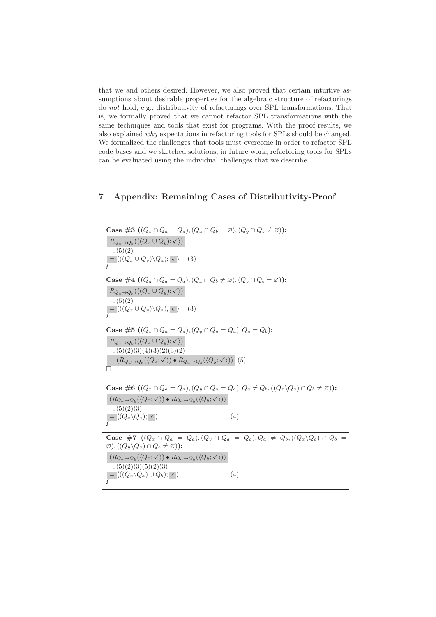that we and others desired. However, we also proved that certain intuitive assumptions about desirable properties for the algebraic structure of refactorings do not hold, e.g., distributivity of refactorings over SPL transformations. That is, we formally proved that we cannot refactor SPL transformations with the same techniques and tools that exist for programs. With the proof results, we also explained why expectations in refactoring tools for SPLs should be changed. We formalized the challenges that tools must overcome in order to refactor SPL code bases and we sketched solutions; in future work, refactoring tools for SPLs can be evaluated using the individual challenges that we describe.

## **7 Appendix: Remaining Cases of Distributivity-Proof**

| <b>Case</b> #3 $((Q_x \cap Q_a = Q_a), (Q_x \cap Q_b = \emptyset), (Q_y \cap Q_b \neq \emptyset))$ :                                                                              |
|-----------------------------------------------------------------------------------------------------------------------------------------------------------------------------------|
| $R_{Q_a \mapsto Q_b}(\langle (Q_x \cup Q_y); \checkmark) \rangle)$                                                                                                                |
| $\ldots (5)(2)$<br>$= \langle ((Q_x \cup Q_y) \backslash Q_a); \epsilon \rangle$ (3)                                                                                              |
| Case #4 $((Q_y \cap Q_a = Q_a), (Q_x \cap Q_b \neq \emptyset), (Q_y \cap Q_b = \emptyset))$ :                                                                                     |
| $R_{Q_a \mapsto Q_b}(\langle (Q_x \cup Q_y); \checkmark)$<br>$\dots(5)(2)$                                                                                                        |
| $= \langle ((Q_x \cup Q_y) \backslash Q_a); \epsilon \rangle$ (3)                                                                                                                 |
| <b>Case</b> #5 $((Q_x \cap Q_a = Q_a), (Q_y \cap Q_a = Q_a), Q_a = Q_b)$ :                                                                                                        |
| $R_{Q_a \mapsto Q_b}(\langle (Q_x \cup Q_y); \checkmark) \rangle)$<br>$\ldots (5)(2)(3)(4)(3)(2)(3)(2)$                                                                           |
| $=(R_{Q_a\mapsto Q_b}(\langle Q_x;\checkmark\rangle)\bullet R_{Q_a\mapsto Q_b}(\langle Q_y;\checkmark\rangle))$ (5)                                                               |
| <b>Case</b> #6 $((Q_x \cap Q_a = Q_a), (Q_y \cap Q_a = Q_a), Q_a \neq Q_b, ((Q_x \setminus Q_a) \cap Q_b \neq \emptyset))$ :                                                      |
| $(R_{Q_a \mapsto Q_b}(\langle Q_x; \checkmark \rangle) \bullet R_{Q_a \mapsto Q_b}(\langle Q_y; \checkmark \rangle))$                                                             |
| $\ldots (5)(2)(3)$<br>(4)<br>$\overline{\phantom{a}} = \langle (Q_x \backslash Q_a); \overline{\phantom{a}} \epsilon \rangle$                                                     |
|                                                                                                                                                                                   |
| <b>Case #7</b> $((Q_x \cap Q_a = Q_a), (Q_y \cap Q_a = Q_a), Q_a \neq Q_b, ((Q_x \setminus Q_a) \cap Q_b =$<br>$\varnothing), ((Q_y \backslash Q_a) \cap Q_b \neq \varnothing)).$ |
| $(R_{Q_a \mapsto Q_b}(\langle Q_x; \checkmark \rangle) \bullet R_{Q_a \mapsto Q_b}(\langle Q_y; \checkmark \rangle))$                                                             |
| $\ldots (5)(2)(3)(5)(2)(3)$<br>$\overline{Q} = \langle ((Q_x \backslash Q_a) \cup Q_b); \overline{\epsilon} \rangle$<br>(4)                                                       |
|                                                                                                                                                                                   |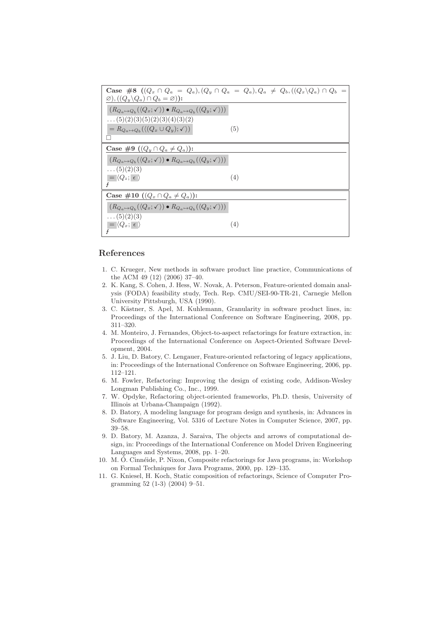| <b>Case</b> #8 $((Q_x \cap Q_a = Q_a), (Q_y \cap Q_a = Q_a), Q_a \neq Q_b, ((Q_x \backslash Q_a) \cap Q_b =$           |     |
|------------------------------------------------------------------------------------------------------------------------|-----|
| $\varnothing), ((Q_y \backslash Q_a) \cap Q_b = \varnothing)$ :                                                        |     |
| $(R_{Q_a \mapsto Q_b}(\langle Q_x; \checkmark \rangle) \bullet R_{Q_a \mapsto Q_b}(\langle Q_y; \checkmark \rangle))$  |     |
| $\ldots (5)(2)(3)(5)(2)(3)(4)(3)(2)$                                                                                   |     |
| $= R_{Q_a \mapsto Q_b}(\langle (Q_x \cup Q_y); \checkmark) \rangle$                                                    | (5) |
|                                                                                                                        |     |
| Case #9 $((Q_y \cap Q_a \neq Q_a))$ :                                                                                  |     |
| $(R_{Q_a \mapsto Q_b}(\langle Q_x; \checkmark \rangle) \bullet R_{Q_a \mapsto Q_b}(\langle Q_y; \checkmark \rangle)).$ |     |
| $\ldots (5)(2)(3)$                                                                                                     |     |
| $= \langle Q_z; \epsilon \rangle$                                                                                      | (4) |
| z                                                                                                                      |     |
| Case #10 $((Q_x \cap Q_a \neq Q_a))$ :                                                                                 |     |
| $(R_{Q_a \mapsto Q_b}(\langle Q_x; \checkmark \rangle) \bullet R_{Q_a \mapsto Q_b}(\langle Q_y; \checkmark \rangle))$  |     |
| $\ldots (5)(2)(3)$                                                                                                     |     |
| $\vert = \langle Q_x; \epsilon \rangle$                                                                                | (4) |
|                                                                                                                        |     |

## **References**

- 1. C. Krueger, New methods in software product line practice, Communications of the ACM 49 (12) (2006) 37–40.
- 2. K. Kang, S. Cohen, J. Hess, W. Novak, A. Peterson, Feature-oriented domain analysis (FODA) feasibility study, Tech. Rep. CMU/SEI-90-TR-21, Carnegie Mellon University Pittsburgh, USA (1990).
- 3. C. Kästner, S. Apel, M. Kuhlemann, Granularity in software product lines, in: Proceedings of the International Conference on Software Engineering, 2008, pp. 311–320.
- 4. M. Monteiro, J. Fernandes, Object-to-aspect refactorings for feature extraction, in: Proceedings of the International Conference on Aspect-Oriented Software Development, 2004.
- 5. J. Liu, D. Batory, C. Lengauer, Feature-oriented refactoring of legacy applications, in: Proceedings of the International Conference on Software Engineering, 2006, pp. 112–121.
- 6. M. Fowler, Refactoring: Improving the design of existing code, Addison-Wesley Longman Publishing Co., Inc., 1999.
- 7. W. Opdyke, Refactoring object-oriented frameworks, Ph.D. thesis, University of Illinois at Urbana-Champaign (1992).
- 8. D. Batory, A modeling language for program design and synthesis, in: Advances in Software Engineering, Vol. 5316 of Lecture Notes in Computer Science, 2007, pp. 39–58.
- 9. D. Batory, M. Azanza, J. Saraiva, The objects and arrows of computational design, in: Proceedings of the International Conference on Model Driven Engineering Languages and Systems, 2008, pp. 1–20.
- 10. M. Ó. Cinnéide, P. Nixon, Composite refactorings for Java programs, in: Workshop on Formal Techniques for Java Programs, 2000, pp. 129–135.
- 11. G. Kniesel, H. Koch, Static composition of refactorings, Science of Computer Programming 52 (1-3) (2004) 9–51.